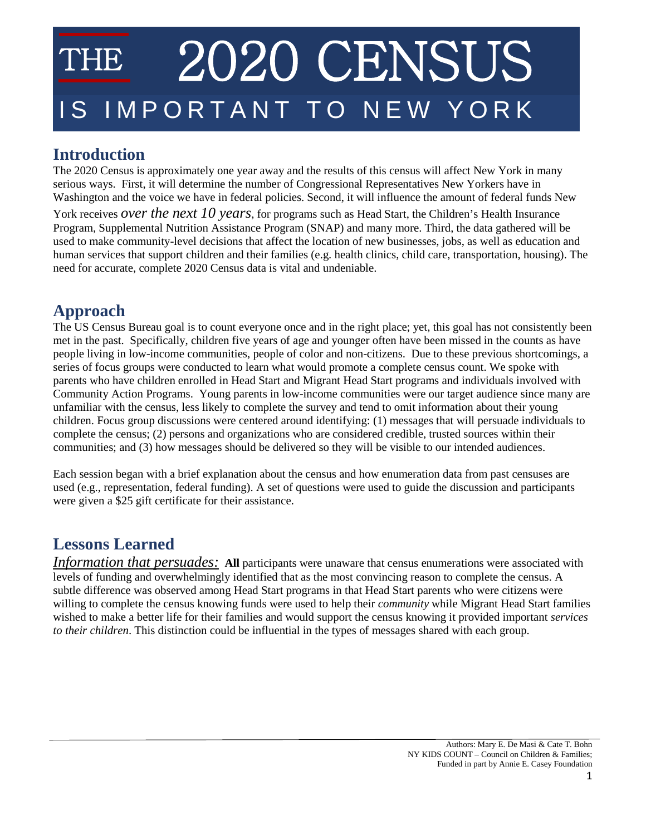# 2020 CENSUS IMPORTANT TO NEW YORK

## **Introduction**

The 2020 Census is approximately one year away and the results of this census will affect New York in many serious ways. First, it will determine the number of Congressional Representatives New Yorkers have in Washington and the voice we have in federal policies. Second, it will influence the amount of federal funds New York receives *over the next 10 years*, for programs such as Head Start, the Children's Health Insurance Program, Supplemental Nutrition Assistance Program (SNAP) and many more. Third, the data gathered will be used to make community-level decisions that affect the location of new businesses, jobs, as well as education and human services that support children and their families (e.g. health clinics, child care, transportation, housing). The need for accurate, complete 2020 Census data is vital and undeniable.

# **Approach**

The US Census Bureau goal is to count everyone once and in the right place; yet, this goal has not consistently been met in the past. Specifically, children five years of age and younger often have been missed in the counts as have people living in low-income communities, people of color and non-citizens. Due to these previous shortcomings, a series of focus groups were conducted to learn what would promote a complete census count. We spoke with parents who have children enrolled in Head Start and Migrant Head Start programs and individuals involved with Community Action Programs. Young parents in low-income communities were our target audience since many are unfamiliar with the census, less likely to complete the survey and tend to omit information about their young children. Focus group discussions were centered around identifying: (1) messages that will persuade individuals to complete the census; (2) persons and organizations who are considered credible, trusted sources within their communities; and (3) how messages should be delivered so they will be visible to our intended audiences.

Each session began with a brief explanation about the census and how enumeration data from past censuses are used (e.g., representation, federal funding). A set of questions were used to guide the discussion and participants were given a \$25 gift certificate for their assistance.

## **Lessons Learned**

*Information that persuades:* All participants were unaware that census enumerations were associated with levels of funding and overwhelmingly identified that as the most convincing reason to complete the census. A subtle difference was observed among Head Start programs in that Head Start parents who were citizens were willing to complete the census knowing funds were used to help their *community* while Migrant Head Start families wished to make a better life for their families and would support the census knowing it provided important *services to their children*. This distinction could be influential in the types of messages shared with each group.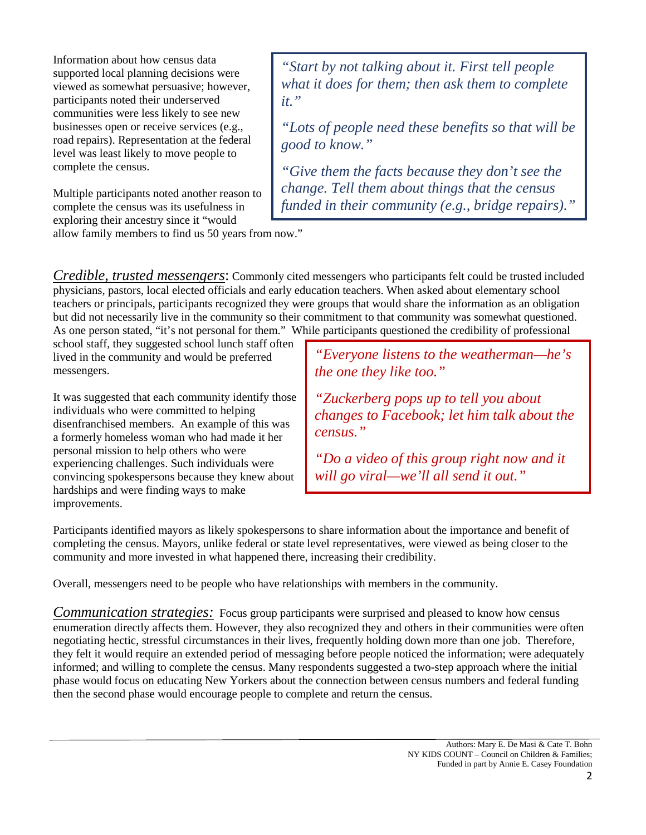Information about how census data supported local planning decisions were viewed as somewhat persuasive; however, participants noted their underserved communities were less likely to see new businesses open or receive services (e.g., road repairs). Representation at the federal level was least likely to move people to complete the census.

Multiple participants noted another reason to complete the census was its usefulness in exploring their ancestry since it "would allow family members to find us 50 years from now."

*"Start by not talking about it. First tell people what it does for them; then ask them to complete it."*

*"Lots of people need these benefits so that will be good to know."*

*"Give them the facts because they don't see the change. Tell them about things that the census funded in their community (e.g., bridge repairs)."*

*Credible, trusted messengers*: Commonly cited messengers who participants felt could be trusted included physicians, pastors, local elected officials and early education teachers. When asked about elementary school teachers or principals, participants recognized they were groups that would share the information as an obligation but did not necessarily live in the community so their commitment to that community was somewhat questioned. As one person stated, "it's not personal for them." While participants questioned the credibility of professional

school staff, they suggested school lunch staff often lived in the community and would be preferred messengers.

It was suggested that each community identify those individuals who were committed to helping disenfranchised members. An example of this was a formerly homeless woman who had made it her personal mission to help others who were experiencing challenges. Such individuals were convincing spokespersons because they knew about hardships and were finding ways to make improvements.

*"Everyone listens to the weatherman—he's the one they like too."*

*"Zuckerberg pops up to tell you about changes to Facebook; let him talk about the census."*

*"Do a video of this group right now and it will go viral—we'll all send it out."*

Participants identified mayors as likely spokespersons to share information about the importance and benefit of completing the census. Mayors, unlike federal or state level representatives, were viewed as being closer to the community and more invested in what happened there, increasing their credibility.

Overall, messengers need to be people who have relationships with members in the community.

*Communication strategies:* Focus group participants were surprised and pleased to know how census enumeration directly affects them. However, they also recognized they and others in their communities were often negotiating hectic, stressful circumstances in their lives, frequently holding down more than one job. Therefore, they felt it would require an extended period of messaging before people noticed the information; were adequately informed; and willing to complete the census. Many respondents suggested a two-step approach where the initial phase would focus on educating New Yorkers about the connection between census numbers and federal funding then the second phase would encourage people to complete and return the census.